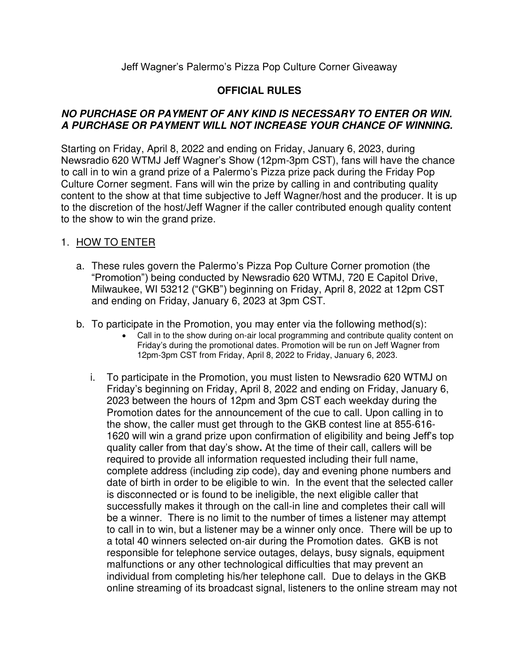## Jeff Wagner's Palermo's Pizza Pop Culture Corner Giveaway

# **OFFICIAL RULES**

#### **NO PURCHASE OR PAYMENT OF ANY KIND IS NECESSARY TO ENTER OR WIN. A PURCHASE OR PAYMENT WILL NOT INCREASE YOUR CHANCE OF WINNING.**

Starting on Friday, April 8, 2022 and ending on Friday, January 6, 2023, during Newsradio 620 WTMJ Jeff Wagner's Show (12pm-3pm CST), fans will have the chance to call in to win a grand prize of a Palermo's Pizza prize pack during the Friday Pop Culture Corner segment. Fans will win the prize by calling in and contributing quality content to the show at that time subjective to Jeff Wagner/host and the producer. It is up to the discretion of the host/Jeff Wagner if the caller contributed enough quality content to the show to win the grand prize.

#### 1. HOW TO ENTER

- a. These rules govern the Palermo's Pizza Pop Culture Corner promotion (the "Promotion") being conducted by Newsradio 620 WTMJ, 720 E Capitol Drive, Milwaukee, WI 53212 ("GKB") beginning on Friday, April 8, 2022 at 12pm CST and ending on Friday, January 6, 2023 at 3pm CST.
- b. To participate in the Promotion, you may enter via the following method(s):
	- Call in to the show during on-air local programming and contribute quality content on Friday's during the promotional dates. Promotion will be run on Jeff Wagner from 12pm-3pm CST from Friday, April 8, 2022 to Friday, January 6, 2023.
	- i. To participate in the Promotion, you must listen to Newsradio 620 WTMJ on Friday's beginning on Friday, April 8, 2022 and ending on Friday, January 6, 2023 between the hours of 12pm and 3pm CST each weekday during the Promotion dates for the announcement of the cue to call. Upon calling in to the show, the caller must get through to the GKB contest line at 855-616- 1620 will win a grand prize upon confirmation of eligibility and being Jeff's top quality caller from that day's show**.** At the time of their call, callers will be required to provide all information requested including their full name, complete address (including zip code), day and evening phone numbers and date of birth in order to be eligible to win. In the event that the selected caller is disconnected or is found to be ineligible, the next eligible caller that successfully makes it through on the call-in line and completes their call will be a winner. There is no limit to the number of times a listener may attempt to call in to win, but a listener may be a winner only once. There will be up to a total 40 winners selected on-air during the Promotion dates. GKB is not responsible for telephone service outages, delays, busy signals, equipment malfunctions or any other technological difficulties that may prevent an individual from completing his/her telephone call. Due to delays in the GKB online streaming of its broadcast signal, listeners to the online stream may not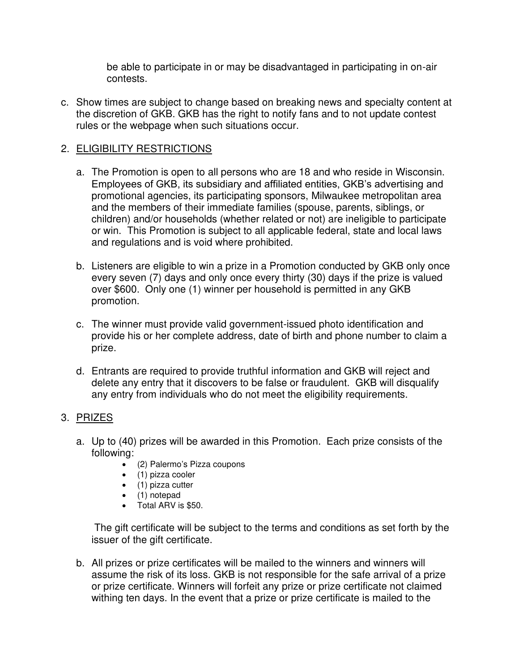be able to participate in or may be disadvantaged in participating in on-air contests.

c. Show times are subject to change based on breaking news and specialty content at the discretion of GKB. GKB has the right to notify fans and to not update contest rules or the webpage when such situations occur.

# 2. ELIGIBILITY RESTRICTIONS

- a. The Promotion is open to all persons who are 18 and who reside in Wisconsin. Employees of GKB, its subsidiary and affiliated entities, GKB's advertising and promotional agencies, its participating sponsors, Milwaukee metropolitan area and the members of their immediate families (spouse, parents, siblings, or children) and/or households (whether related or not) are ineligible to participate or win. This Promotion is subject to all applicable federal, state and local laws and regulations and is void where prohibited.
- b. Listeners are eligible to win a prize in a Promotion conducted by GKB only once every seven (7) days and only once every thirty (30) days if the prize is valued over \$600. Only one (1) winner per household is permitted in any GKB promotion.
- c. The winner must provide valid government-issued photo identification and provide his or her complete address, date of birth and phone number to claim a prize.
- d. Entrants are required to provide truthful information and GKB will reject and delete any entry that it discovers to be false or fraudulent. GKB will disqualify any entry from individuals who do not meet the eligibility requirements.

#### 3. PRIZES

- a. Up to (40) prizes will be awarded in this Promotion. Each prize consists of the following:
	- (2) Palermo's Pizza coupons
	- (1) pizza cooler
	- $\bullet$  (1) pizza cutter
	- (1) notepad
	- Total ARV is \$50.

 The gift certificate will be subject to the terms and conditions as set forth by the issuer of the gift certificate.

b. All prizes or prize certificates will be mailed to the winners and winners will assume the risk of its loss. GKB is not responsible for the safe arrival of a prize or prize certificate. Winners will forfeit any prize or prize certificate not claimed withing ten days. In the event that a prize or prize certificate is mailed to the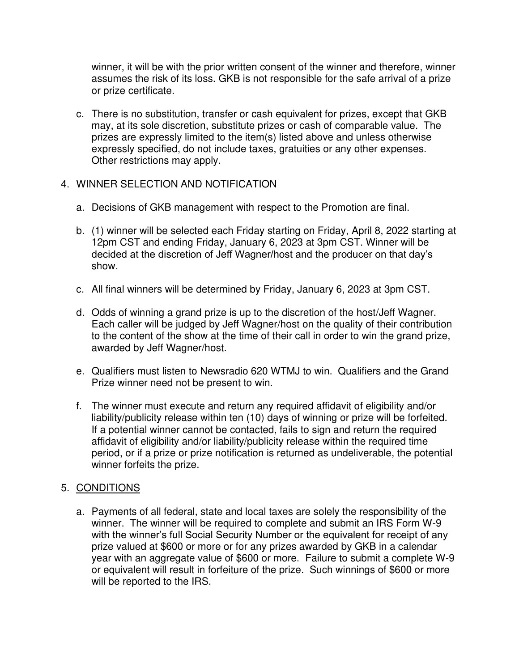winner, it will be with the prior written consent of the winner and therefore, winner assumes the risk of its loss. GKB is not responsible for the safe arrival of a prize or prize certificate.

c. There is no substitution, transfer or cash equivalent for prizes, except that GKB may, at its sole discretion, substitute prizes or cash of comparable value. The prizes are expressly limited to the item(s) listed above and unless otherwise expressly specified, do not include taxes, gratuities or any other expenses. Other restrictions may apply.

## 4. WINNER SELECTION AND NOTIFICATION

- a. Decisions of GKB management with respect to the Promotion are final.
- b. (1) winner will be selected each Friday starting on Friday, April 8, 2022 starting at 12pm CST and ending Friday, January 6, 2023 at 3pm CST. Winner will be decided at the discretion of Jeff Wagner/host and the producer on that day's show.
- c. All final winners will be determined by Friday, January 6, 2023 at 3pm CST.
- d. Odds of winning a grand prize is up to the discretion of the host/Jeff Wagner. Each caller will be judged by Jeff Wagner/host on the quality of their contribution to the content of the show at the time of their call in order to win the grand prize, awarded by Jeff Wagner/host.
- e. Qualifiers must listen to Newsradio 620 WTMJ to win. Qualifiers and the Grand Prize winner need not be present to win.
- f. The winner must execute and return any required affidavit of eligibility and/or liability/publicity release within ten (10) days of winning or prize will be forfeited. If a potential winner cannot be contacted, fails to sign and return the required affidavit of eligibility and/or liability/publicity release within the required time period, or if a prize or prize notification is returned as undeliverable, the potential winner forfeits the prize.

# 5. CONDITIONS

a. Payments of all federal, state and local taxes are solely the responsibility of the winner. The winner will be required to complete and submit an IRS Form W-9 with the winner's full Social Security Number or the equivalent for receipt of any prize valued at \$600 or more or for any prizes awarded by GKB in a calendar year with an aggregate value of \$600 or more. Failure to submit a complete W-9 or equivalent will result in forfeiture of the prize. Such winnings of \$600 or more will be reported to the IRS.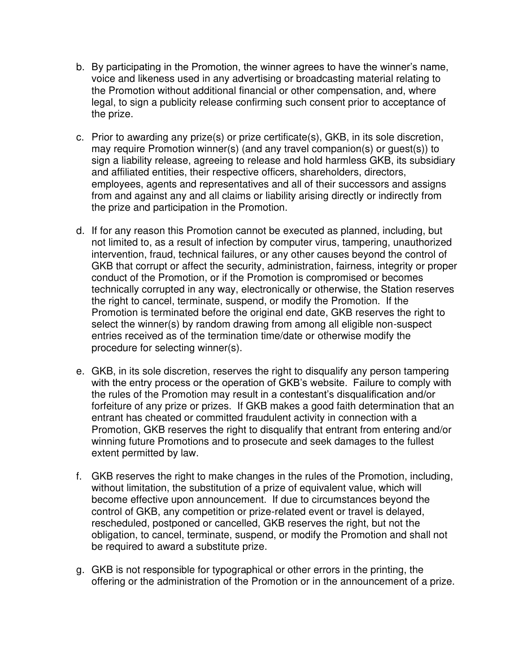- b. By participating in the Promotion, the winner agrees to have the winner's name, voice and likeness used in any advertising or broadcasting material relating to the Promotion without additional financial or other compensation, and, where legal, to sign a publicity release confirming such consent prior to acceptance of the prize.
- c. Prior to awarding any prize(s) or prize certificate(s), GKB, in its sole discretion, may require Promotion winner(s) (and any travel companion(s) or guest(s)) to sign a liability release, agreeing to release and hold harmless GKB, its subsidiary and affiliated entities, their respective officers, shareholders, directors, employees, agents and representatives and all of their successors and assigns from and against any and all claims or liability arising directly or indirectly from the prize and participation in the Promotion.
- d. If for any reason this Promotion cannot be executed as planned, including, but not limited to, as a result of infection by computer virus, tampering, unauthorized intervention, fraud, technical failures, or any other causes beyond the control of GKB that corrupt or affect the security, administration, fairness, integrity or proper conduct of the Promotion, or if the Promotion is compromised or becomes technically corrupted in any way, electronically or otherwise, the Station reserves the right to cancel, terminate, suspend, or modify the Promotion. If the Promotion is terminated before the original end date, GKB reserves the right to select the winner(s) by random drawing from among all eligible non-suspect entries received as of the termination time/date or otherwise modify the procedure for selecting winner(s).
- e. GKB, in its sole discretion, reserves the right to disqualify any person tampering with the entry process or the operation of GKB's website. Failure to comply with the rules of the Promotion may result in a contestant's disqualification and/or forfeiture of any prize or prizes. If GKB makes a good faith determination that an entrant has cheated or committed fraudulent activity in connection with a Promotion, GKB reserves the right to disqualify that entrant from entering and/or winning future Promotions and to prosecute and seek damages to the fullest extent permitted by law.
- f. GKB reserves the right to make changes in the rules of the Promotion, including, without limitation, the substitution of a prize of equivalent value, which will become effective upon announcement. If due to circumstances beyond the control of GKB, any competition or prize-related event or travel is delayed, rescheduled, postponed or cancelled, GKB reserves the right, but not the obligation, to cancel, terminate, suspend, or modify the Promotion and shall not be required to award a substitute prize.
- g. GKB is not responsible for typographical or other errors in the printing, the offering or the administration of the Promotion or in the announcement of a prize.